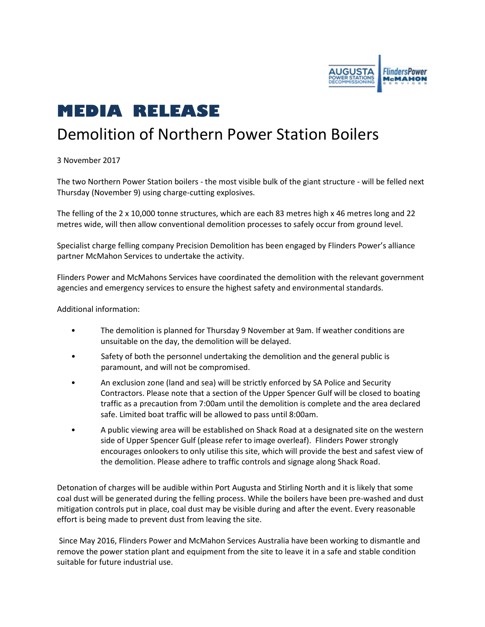

## **MEDIA RELEASE**

## Demolition of Northern Power Station Boilers

3 November 2017

The two Northern Power Station boilers - the most visible bulk of the giant structure - will be felled next Thursday (November 9) using charge-cutting explosives.

The felling of the 2 x 10,000 tonne structures, which are each 83 metres high x 46 metres long and 22 metres wide, will then allow conventional demolition processes to safely occur from ground level.

Specialist charge felling company Precision Demolition has been engaged by Flinders Power's alliance partner McMahon Services to undertake the activity.

Flinders Power and McMahons Services have coordinated the demolition with the relevant government agencies and emergency services to ensure the highest safety and environmental standards.

Additional information:

- The demolition is planned for Thursday 9 November at 9am. If weather conditions are unsuitable on the day, the demolition will be delayed.
- Safety of both the personnel undertaking the demolition and the general public is paramount, and will not be compromised.
- An exclusion zone (land and sea) will be strictly enforced by SA Police and Security Contractors. Please note that a section of the Upper Spencer Gulf will be closed to boating traffic as a precaution from 7:00am until the demolition is complete and the area declared safe. Limited boat traffic will be allowed to pass until 8:00am.
- A public viewing area will be established on Shack Road at a designated site on the western side of Upper Spencer Gulf (please refer to image overleaf). Flinders Power strongly encourages onlookers to only utilise this site, which will provide the best and safest view of the demolition. Please adhere to traffic controls and signage along Shack Road.

Detonation of charges will be audible within Port Augusta and Stirling North and it is likely that some coal dust will be generated during the felling process. While the boilers have been pre-washed and dust mitigation controls put in place, coal dust may be visible during and after the event. Every reasonable effort is being made to prevent dust from leaving the site.

Since May 2016, Flinders Power and McMahon Services Australia have been working to dismantle and remove the power station plant and equipment from the site to leave it in a safe and stable condition suitable for future industrial use.